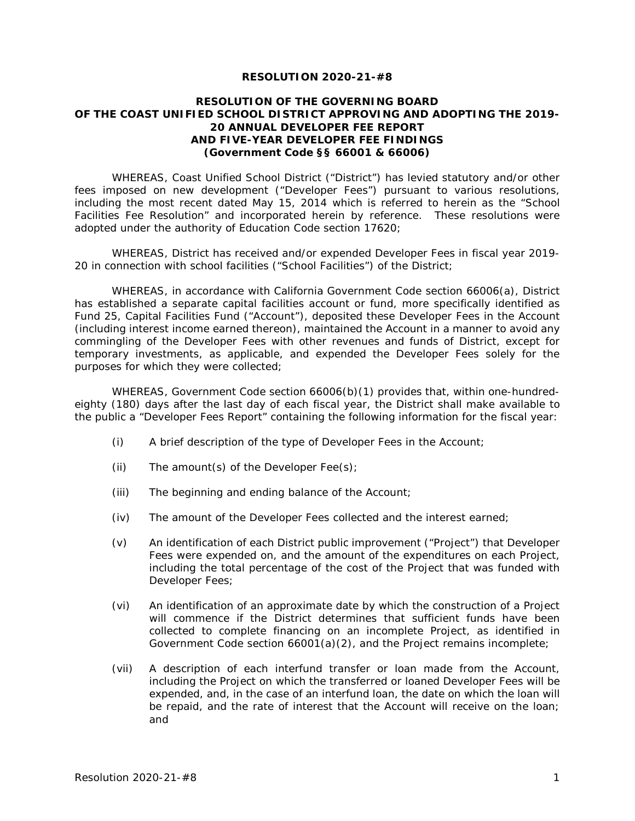#### **RESOLUTION 2020-21-#8**

### **RESOLUTION OF THE GOVERNING BOARD OF THE COAST UNIFIED SCHOOL DISTRICT APPROVING AND ADOPTING THE 2019- 20 ANNUAL DEVELOPER FEE REPORT AND FIVE-YEAR DEVELOPER FEE FINDINGS (Government Code §§ 66001 & 66006)**

WHEREAS, Coast Unified School District ("District") has levied statutory and/or other fees imposed on new development ("Developer Fees") pursuant to various resolutions, including the most recent dated May 15, 2014 which is referred to herein as the "School Facilities Fee Resolution" and incorporated herein by reference. These resolutions were adopted under the authority of Education Code section 17620;

WHEREAS, District has received and/or expended Developer Fees in fiscal year 2019- 20 in connection with school facilities ("School Facilities") of the District;

WHEREAS, in accordance with California Government Code section 66006(a), District has established a separate capital facilities account or fund, more specifically identified as Fund 25, Capital Facilities Fund ("Account"), deposited these Developer Fees in the Account (including interest income earned thereon), maintained the Account in a manner to avoid any commingling of the Developer Fees with other revenues and funds of District, except for temporary investments, as applicable, and expended the Developer Fees solely for the purposes for which they were collected;

WHEREAS, Government Code section 66006(b)(1) provides that, within one-hundredeighty (180) days after the last day of each fiscal year, the District shall make available to the public a "Developer Fees Report" containing the following information for the fiscal year:

- (i) A brief description of the type of Developer Fees in the Account;
- (ii) The amount(s) of the Developer  $\text{Fee(s)}$ ;
- (iii) The beginning and ending balance of the Account;
- (iv) The amount of the Developer Fees collected and the interest earned;
- (v) An identification of each District public improvement ("Project") that Developer Fees were expended on, and the amount of the expenditures on each Project, including the total percentage of the cost of the Project that was funded with Developer Fees;
- (vi) An identification of an approximate date by which the construction of a Project will commence if the District determines that sufficient funds have been collected to complete financing on an incomplete Project, as identified in Government Code section 66001(a)(2), and the Project remains incomplete;
- (vii) A description of each interfund transfer or loan made from the Account, including the Project on which the transferred or loaned Developer Fees will be expended, and, in the case of an interfund loan, the date on which the loan will be repaid, and the rate of interest that the Account will receive on the loan; and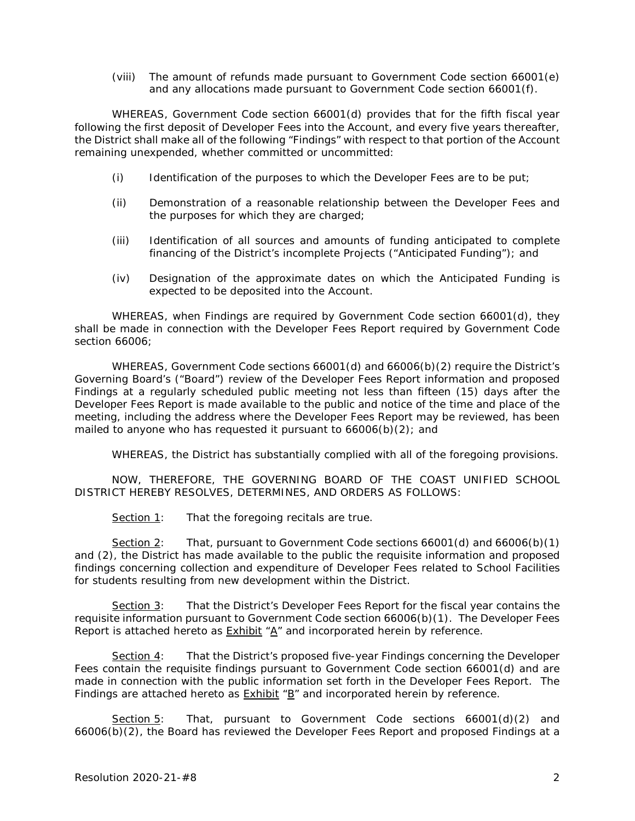(viii) The amount of refunds made pursuant to Government Code section 66001(e) and any allocations made pursuant to Government Code section 66001(f).

WHEREAS, Government Code section 66001(d) provides that for the fifth fiscal year following the first deposit of Developer Fees into the Account, and every five years thereafter, the District shall make all of the following "Findings" with respect to that portion of the Account remaining unexpended, whether committed or uncommitted:

- (i) Identification of the purposes to which the Developer Fees are to be put;
- (ii) Demonstration of a reasonable relationship between the Developer Fees and the purposes for which they are charged;
- (iii) Identification of all sources and amounts of funding anticipated to complete financing of the District's incomplete Projects ("Anticipated Funding"); and
- (iv) Designation of the approximate dates on which the Anticipated Funding is expected to be deposited into the Account.

WHEREAS, when Findings are required by Government Code section 66001(d), they shall be made in connection with the Developer Fees Report required by Government Code section 66006;

WHEREAS, Government Code sections 66001(d) and 66006(b)(2) require the District's Governing Board's ("Board") review of the Developer Fees Report information and proposed Findings at a regularly scheduled public meeting not less than fifteen (15) days after the Developer Fees Report is made available to the public and notice of the time and place of the meeting, including the address where the Developer Fees Report may be reviewed, has been mailed to anyone who has requested it pursuant to 66006(b)(2); and

WHEREAS, the District has substantially complied with all of the foregoing provisions.

NOW, THEREFORE, THE GOVERNING BOARD OF THE COAST UNIFIED SCHOOL DISTRICT HEREBY RESOLVES, DETERMINES, AND ORDERS AS FOLLOWS:

Section 1: That the foregoing recitals are true.

Section 2: That, pursuant to Government Code sections 66001(d) and 66006(b)(1) and (2), the District has made available to the public the requisite information and proposed findings concerning collection and expenditure of Developer Fees related to School Facilities for students resulting from new development within the District.

Section 3: That the District's Developer Fees Report for the fiscal year contains the requisite information pursuant to Government Code section 66006(b)(1). The Developer Fees Report is attached hereto as  $Exhibit * A''$  and incorporated herein by reference.

Section 4: That the District's proposed five-year Findings concerning the Developer Fees contain the requisite findings pursuant to Government Code section 66001(d) and are made in connection with the public information set forth in the Developer Fees Report. The Findings are attached hereto as  $Exhibit * B$ " and incorporated herein by reference.

Section 5: That, pursuant to Government Code sections 66001(d)(2) and 66006(b)(2), the Board has reviewed the Developer Fees Report and proposed Findings at a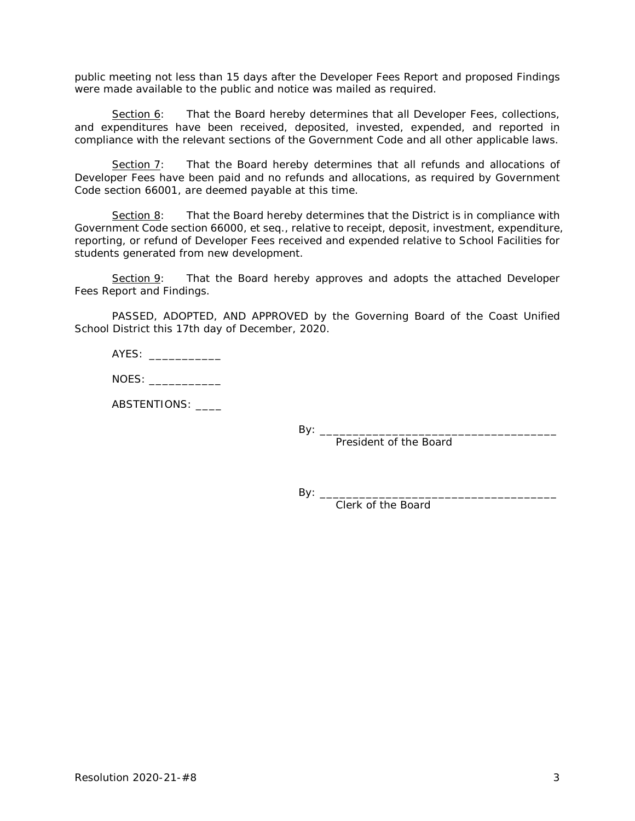public meeting not less than 15 days after the Developer Fees Report and proposed Findings were made available to the public and notice was mailed as required.

Section 6: That the Board hereby determines that all Developer Fees, collections, and expenditures have been received, deposited, invested, expended, and reported in compliance with the relevant sections of the Government Code and all other applicable laws.

Section 7: That the Board hereby determines that all refunds and allocations of Developer Fees have been paid and no refunds and allocations, as required by Government Code section 66001, are deemed payable at this time.

Section 8: That the Board hereby determines that the District is in compliance with Government Code section 66000, *et seq*., relative to receipt, deposit, investment, expenditure, reporting, or refund of Developer Fees received and expended relative to School Facilities for students generated from new development.

Section 9: That the Board hereby approves and adopts the attached Developer Fees Report and Findings.

PASSED, ADOPTED, AND APPROVED by the Governing Board of the Coast Unified School District this 17th day of December, 2020.

NOES:

ABSTENTIONS:

By:  $\_\_$ 

President of the Board

 $By: \_$ 

Clerk of the Board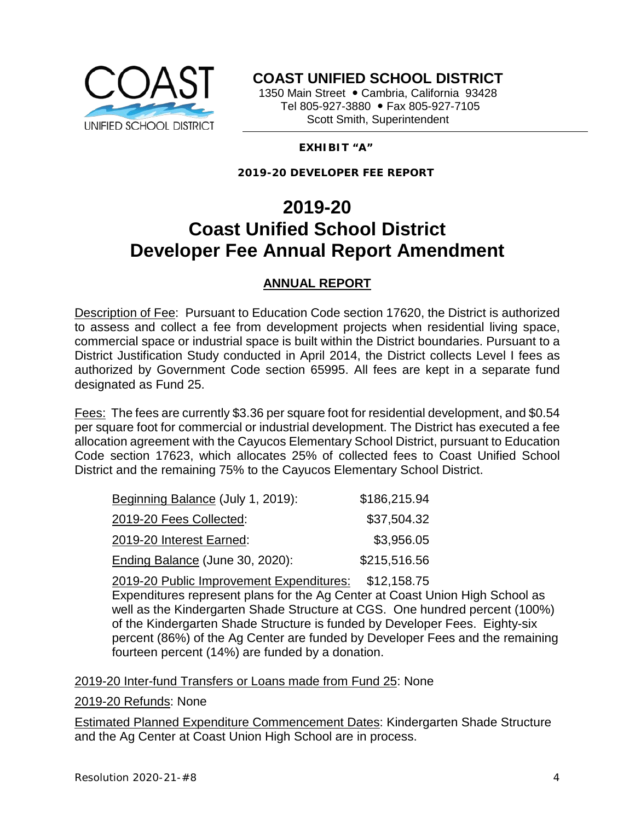

**COAST UNIFIED SCHOOL DISTRICT**

1350 Main Street · Cambria, California 93428 Tel 805-927-3880 • Fax 805-927-7105 Scott Smith, Superintendent

## **EXHIBIT "A"**

**2019-20 DEVELOPER FEE REPORT**

# **2019-20 Coast Unified School District Developer Fee Annual Report Amendment**

## **ANNUAL REPORT**

Description of Fee: Pursuant to Education Code section 17620, the District is authorized to assess and collect a fee from development projects when residential living space, commercial space or industrial space is built within the District boundaries. Pursuant to a District Justification Study conducted in April 2014, the District collects Level I fees as authorized by Government Code section 65995. All fees are kept in a separate fund designated as Fund 25.

Fees: The fees are currently \$3.36 per square foot for residential development, and \$0.54 per square foot for commercial or industrial development. The District has executed a fee allocation agreement with the Cayucos Elementary School District, pursuant to Education Code section 17623, which allocates 25% of collected fees to Coast Unified School District and the remaining 75% to the Cayucos Elementary School District.

| Beginning Balance (July 1, 2019): | \$186,215.94 |
|-----------------------------------|--------------|
| 2019-20 Fees Collected:           | \$37,504.32  |
| 2019-20 Interest Earned:          | \$3,956.05   |
| Ending Balance (June 30, 2020):   | \$215,516.56 |

2019-20 Public Improvement Expenditures: \$12,158.75 Expenditures represent plans for the Ag Center at Coast Union High School as well as the Kindergarten Shade Structure at CGS. One hundred percent (100%) of the Kindergarten Shade Structure is funded by Developer Fees. Eighty-six percent (86%) of the Ag Center are funded by Developer Fees and the remaining fourteen percent (14%) are funded by a donation.

2019-20 Inter-fund Transfers or Loans made from Fund 25: None

2019-20 Refunds: None

Estimated Planned Expenditure Commencement Dates: Kindergarten Shade Structure and the Ag Center at Coast Union High School are in process.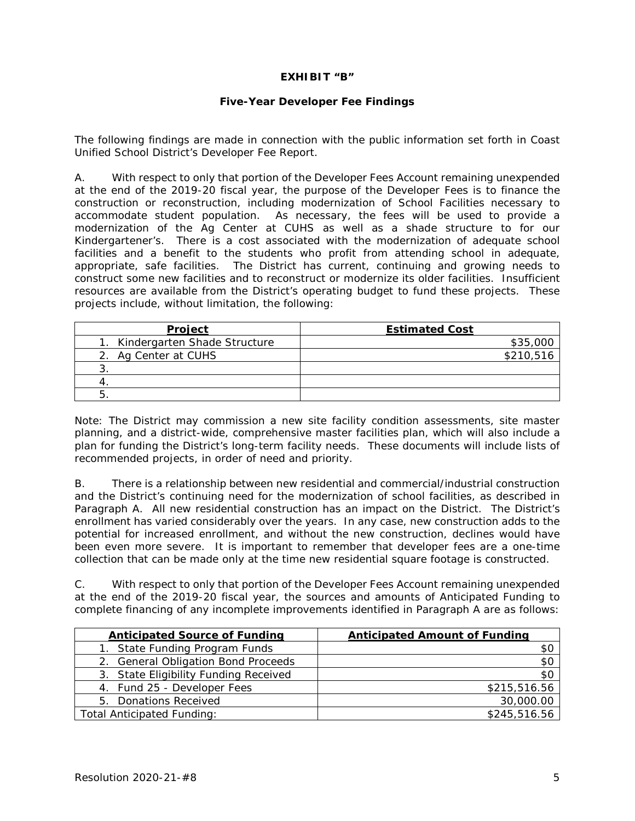### **EXHIBIT "B"**

### **Five-Year Developer Fee Findings**

The following findings are made in connection with the public information set forth in Coast Unified School District's Developer Fee Report.

A. With respect to only that portion of the Developer Fees Account remaining unexpended at the end of the 2019-20 fiscal year, the purpose of the Developer Fees is to finance the construction or reconstruction, including modernization of School Facilities necessary to accommodate student population. As necessary, the fees will be used to provide a modernization of the Ag Center at CUHS as well as a shade structure to for our Kindergartener's. There is a cost associated with the modernization of adequate school facilities and a benefit to the students who profit from attending school in adequate, appropriate, safe facilities. The District has current, continuing and growing needs to construct some new facilities and to reconstruct or modernize its older facilities. Insufficient resources are available from the District's operating budget to fund these projects. These projects include, without limitation, the following:

| Project                         | <b>Estimated Cost</b> |
|---------------------------------|-----------------------|
| 1. Kindergarten Shade Structure | \$35,000              |
| 2. Ag Center at CUHS            | \$210,516             |
|                                 |                       |
|                                 |                       |
|                                 |                       |

Note: The District may commission a new site facility condition assessments, site master planning, and a district-wide, comprehensive master facilities plan, which will also include a plan for funding the District's long-term facility needs. These documents will include lists of recommended projects, in order of need and priority.

B. There is a relationship between new residential and commercial/industrial construction and the District's continuing need for the modernization of school facilities, as described in Paragraph A. All new residential construction has an impact on the District. The District's enrollment has varied considerably over the years. In any case, new construction adds to the potential for increased enrollment, and without the new construction, declines would have been even more severe. It is important to remember that developer fees are a one-time collection that can be made only at the time new residential square footage is constructed.

C. With respect to only that portion of the Developer Fees Account remaining unexpended at the end of the 2019-20 fiscal year, the sources and amounts of Anticipated Funding to complete financing of any incomplete improvements identified in Paragraph A are as follows:

| <b>Anticipated Source of Funding</b>  | <b>Anticipated Amount of Funding</b> |
|---------------------------------------|--------------------------------------|
| State Funding Program Funds<br>1.     | \$С                                  |
| 2. General Obligation Bond Proceeds   | \$0                                  |
| 3. State Eligibility Funding Received | \$0                                  |
| 4. Fund 25 - Developer Fees           | \$215,516.56                         |
| 5. Donations Received                 | 30,000.00                            |
| <b>Total Anticipated Funding:</b>     | \$245,516.56                         |